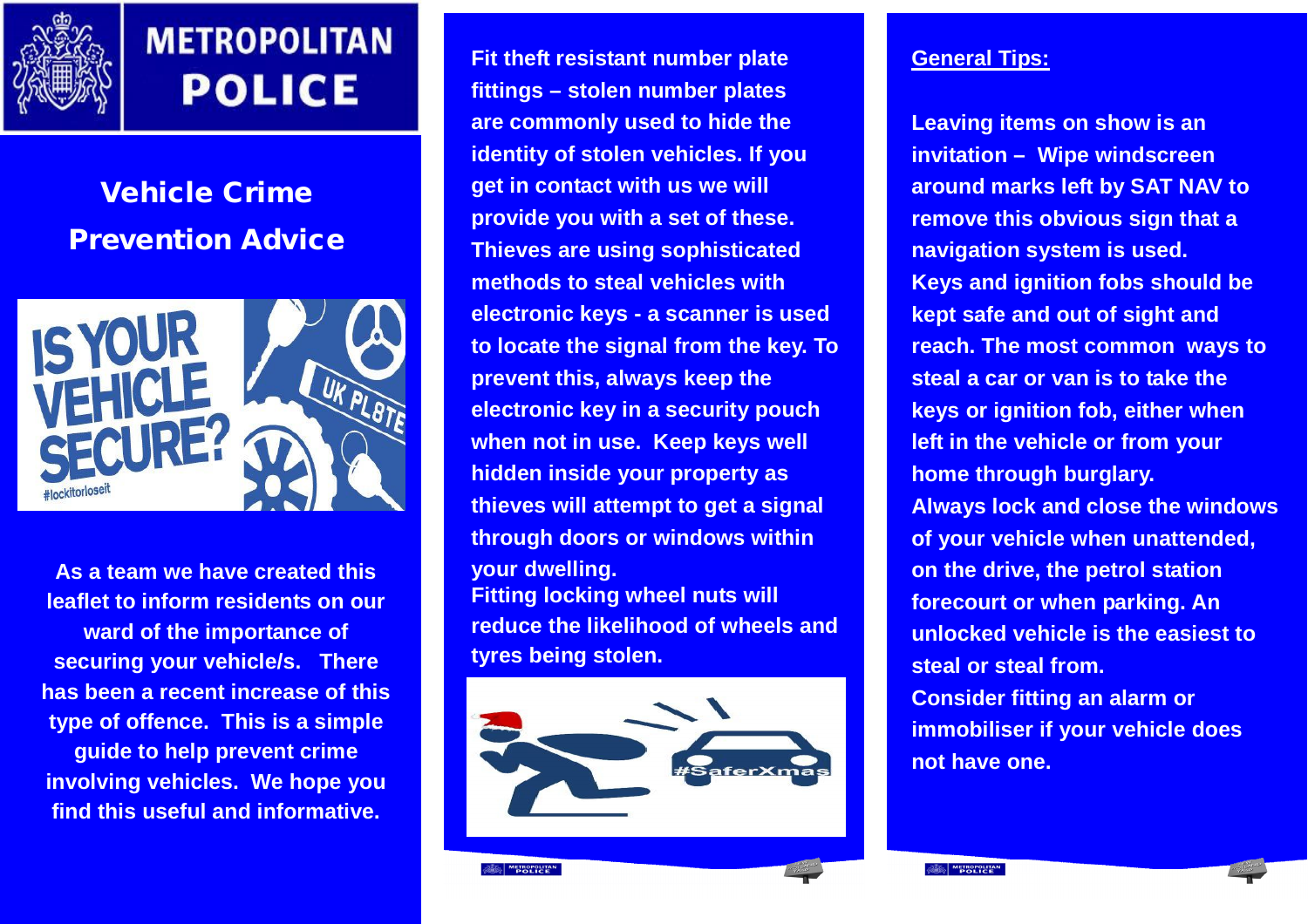

# **METROPOLITAN POLICE**

## **Vehicle Crime Prevention Advice**



**As a team we have created this leaflet to inform residents on our ward of the importance of securing your vehicle/s. There has been a recent increase of this type of offence. This is a simple guide to help prevent crime involving vehicles. We hope you find this useful and informative.** 

**Fit theft resistant number plate fittings – stolen number plates are commonly used to hide the identity of stolen vehicles. If you get in contact with us we will provide you with a set of these. Thieves are using sophisticated methods to steal vehicles with electronic keys - a scanner is used to locate the signal from the key. To prevent this, always keep the electronic key in a security pouch when not in use. Keep keys well hidden inside your property as thieves will attempt to get a signal through doors or windows within your dwelling. Fitting locking wheel nuts will reduce the likelihood of wheels and tyres being stolen.**



### **General Tips:**

**Leaving items on show is an invitation – Wipe windscreen around marks left by SAT NAV to remove this obvious sign that a navigation system is used. Keys and ignition fobs should be kept safe and out of sight and reach. The most common ways to steal a car or van is to take the keys or ignition fob, either when left in the vehicle or from your home through burglary. Always lock and close the windows of your vehicle when unattended, on the drive, the petrol station forecourt or when parking. An unlocked vehicle is the easiest to steal or steal from. Consider fitting an alarm or immobiliser if your vehicle does not have one.**

**AN METROPOLITAN**